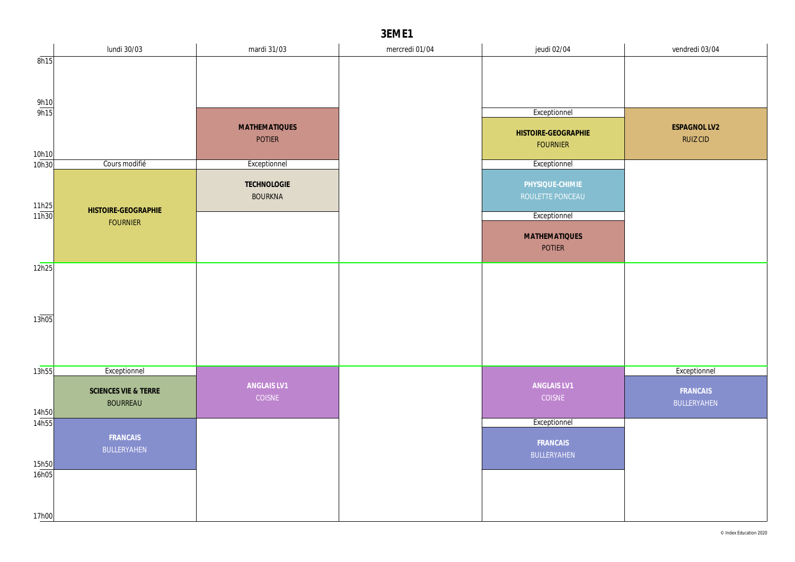|                       | lundi 30/03          | mardi 31/03           | mercredi 01/04 | jeudi 02/04                            | vendredi 03/04  |
|-----------------------|----------------------|-----------------------|----------------|----------------------------------------|-----------------|
| 8h15                  |                      |                       |                |                                        |                 |
|                       |                      |                       |                |                                        |                 |
|                       |                      |                       |                |                                        |                 |
| $\frac{9h10}{9h15}$   |                      |                       |                | Exceptionnel                           |                 |
|                       |                      | <b>MATHEMATIQUES</b>  |                |                                        | ESPAGNOL LV2    |
|                       |                      | <b>POTIER</b>         |                | HISTOIRE-GEOGRAPHIE<br><b>FOURNIER</b> | <b>RUIZ CID</b> |
| 10h10                 |                      |                       |                |                                        |                 |
| 10h30                 | Cours modifié        | Exceptionnel          |                | Exceptionnel                           |                 |
|                       |                      | TECHNOLOGIE           |                | PHYSIQUE-CHIMIE                        |                 |
|                       |                      | <b>BOURKNA</b>        |                | ROULETTE PONCEAU                       |                 |
| $\frac{11h25}{11h30}$ | HISTOIRE-GEOGRAPHIE  |                       |                | Exceptionnel                           |                 |
|                       | <b>FOURNIER</b>      |                       |                |                                        |                 |
|                       |                      |                       |                | <b>MATHEMATIQUES</b><br><b>POTIER</b>  |                 |
|                       |                      |                       |                |                                        |                 |
| 12h25                 |                      |                       |                |                                        |                 |
|                       |                      |                       |                |                                        |                 |
|                       |                      |                       |                |                                        |                 |
| 13h05                 |                      |                       |                |                                        |                 |
|                       |                      |                       |                |                                        |                 |
|                       |                      |                       |                |                                        |                 |
|                       |                      |                       |                |                                        |                 |
| 13h55                 | Exceptionnel         |                       |                |                                        | Exceptionnel    |
|                       | SCIENCES VIE & TERRE | ANGLAIS LV1<br>COISNE |                | ANGLAIS LV1<br>COISNE                  | FRANCAIS        |
| 14h50                 | <b>BOURREAU</b>      |                       |                |                                        | BULLERYAHEN     |
| 14h55                 |                      |                       |                | Exceptionnel                           |                 |
|                       | FRANCAIS             |                       |                | FRANCAIS                               |                 |
|                       | BULLERYAHEN          |                       |                | BULLERYAHEN                            |                 |
| 15h50                 |                      |                       |                |                                        |                 |
| 16h05                 |                      |                       |                |                                        |                 |
|                       |                      |                       |                |                                        |                 |
| 17h00                 |                      |                       |                |                                        |                 |
|                       |                      |                       |                |                                        |                 |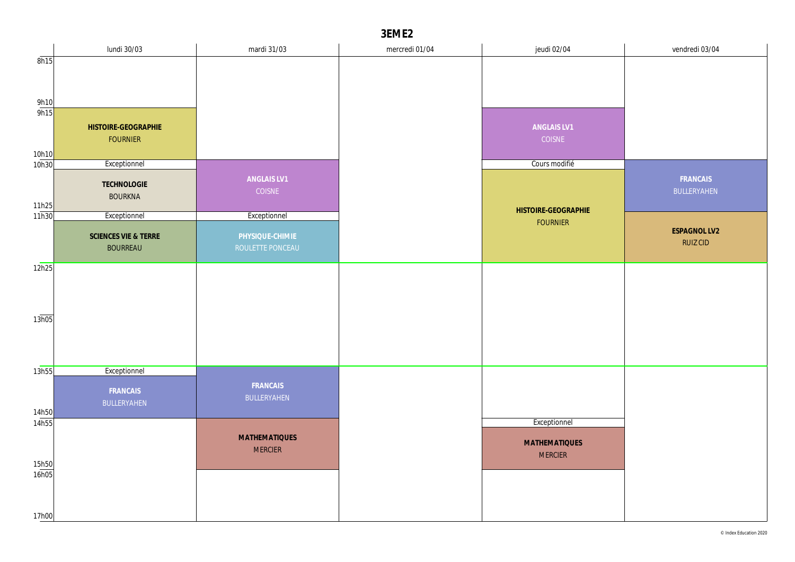|                | lundi 30/03          | mardi 31/03          | mercredi 01/04 | jeudi 02/04          | vendredi 03/04  |
|----------------|----------------------|----------------------|----------------|----------------------|-----------------|
| 8h15           |                      |                      |                |                      |                 |
|                |                      |                      |                |                      |                 |
|                |                      |                      |                |                      |                 |
| 9h10<br>9h15   |                      |                      |                |                      |                 |
|                | HISTOIRE-GEOGRAPHIE  |                      |                | ANGLAIS LV1          |                 |
|                | <b>FOURNIER</b>      |                      |                | COISNE               |                 |
| 10h10          |                      |                      |                |                      |                 |
| 10h30          | Exceptionnel         |                      |                | Cours modifié        |                 |
|                | TECHNOLOGIE          | ANGLAIS LV1          |                |                      | FRANCAIS        |
|                | <b>BOURKNA</b>       | COISNE               |                |                      | BULLERYAHEN     |
| 11h25<br>11h30 | Exceptionnel         | Exceptionnel         |                | HISTOIRE-GEOGRAPHIE  |                 |
|                |                      |                      |                | <b>FOURNIER</b>      | ESPAGNOL LV2    |
|                | SCIENCES VIE & TERRE | PHYSIQUE-CHIMIE      |                |                      | <b>RUIZ CID</b> |
|                | <b>BOURREAU</b>      | ROULETTE PONCEAU     |                |                      |                 |
| 12h25          |                      |                      |                |                      |                 |
|                |                      |                      |                |                      |                 |
|                |                      |                      |                |                      |                 |
| 13h05          |                      |                      |                |                      |                 |
|                |                      |                      |                |                      |                 |
|                |                      |                      |                |                      |                 |
|                |                      |                      |                |                      |                 |
| 13h55          | Exceptionnel         |                      |                |                      |                 |
|                | FRANCAIS             | FRANCAIS             |                |                      |                 |
|                | BULLERYAHEN          | BULLERYAHEN          |                |                      |                 |
| 14h50<br>14h55 |                      |                      |                | Exceptionnel         |                 |
|                |                      | <b>MATHEMATIQUES</b> |                |                      |                 |
|                |                      | <b>MERCIER</b>       |                | <b>MATHEMATIQUES</b> |                 |
| 15h50          |                      |                      |                | <b>MERCIER</b>       |                 |
| 16h05          |                      |                      |                |                      |                 |
|                |                      |                      |                |                      |                 |
|                |                      |                      |                |                      |                 |
| 17h00          |                      |                      |                |                      |                 |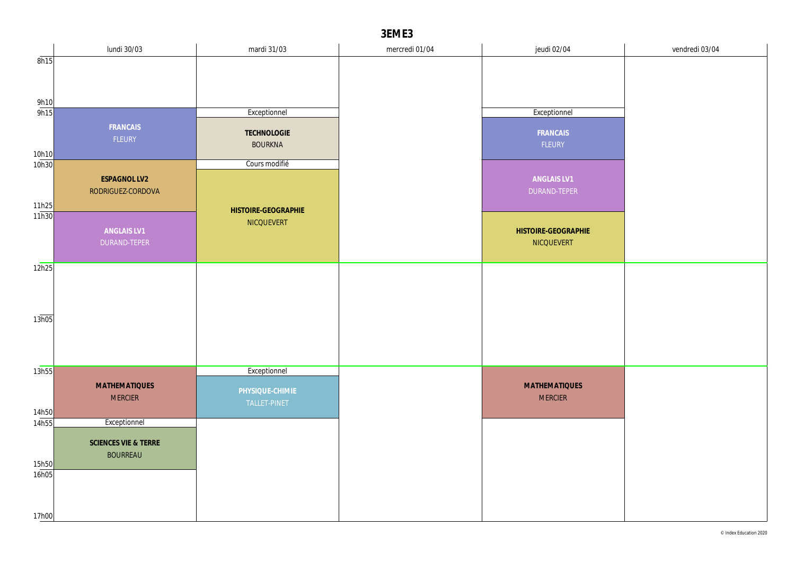|                       | lundi 30/03          | mardi 31/03         | mercredi 01/04 | jeudi 02/04          | vendredi 03/04 |
|-----------------------|----------------------|---------------------|----------------|----------------------|----------------|
| 8h15                  |                      |                     |                |                      |                |
|                       |                      |                     |                |                      |                |
|                       |                      |                     |                |                      |                |
| 9h10                  |                      |                     |                |                      |                |
| 9h15                  |                      | Exceptionnel        |                | Exceptionnel         |                |
|                       | FRANCAIS             | TECHNOLOGIE         |                | FRANCAIS             |                |
|                       | FLEURY               | <b>BOURKNA</b>      |                | FLEURY               |                |
| 10h10                 |                      | Cours modifié       |                |                      |                |
| 10h30                 |                      |                     |                |                      |                |
|                       | <b>ESPAGNOL LV2</b>  |                     |                | ANGLAIS LV1          |                |
|                       | RODRIGUEZ-CORDOVA    |                     |                | DURAND-TEPER         |                |
| $\frac{11h25}{11h30}$ |                      | HISTOIRE-GEOGRAPHIE |                |                      |                |
|                       | ANGLAIS LV1          | NICQUEVERT          |                | HISTOIRE-GEOGRAPHIE  |                |
|                       | DURAND-TEPER         |                     |                | NICQUEVERT           |                |
|                       |                      |                     |                |                      |                |
| 12h25                 |                      |                     |                |                      |                |
|                       |                      |                     |                |                      |                |
|                       |                      |                     |                |                      |                |
|                       |                      |                     |                |                      |                |
| 13h05                 |                      |                     |                |                      |                |
|                       |                      |                     |                |                      |                |
|                       |                      |                     |                |                      |                |
|                       |                      |                     |                |                      |                |
| 13h55                 |                      | Exceptionnel        |                |                      |                |
|                       | <b>MATHEMATIQUES</b> | PHYSIQUE-CHIMIE     |                | <b>MATHEMATIQUES</b> |                |
|                       | <b>MERCIER</b>       | TALLET-PINET        |                | <b>MERCIER</b>       |                |
| 14h50                 |                      |                     |                |                      |                |
| 14h55                 | Exceptionnel         |                     |                |                      |                |
|                       | SCIENCES VIE & TERRE |                     |                |                      |                |
|                       | <b>BOURREAU</b>      |                     |                |                      |                |
| 15h50<br>16h05        |                      |                     |                |                      |                |
|                       |                      |                     |                |                      |                |
|                       |                      |                     |                |                      |                |
|                       |                      |                     |                |                      |                |
| 17h00                 |                      |                     |                |                      |                |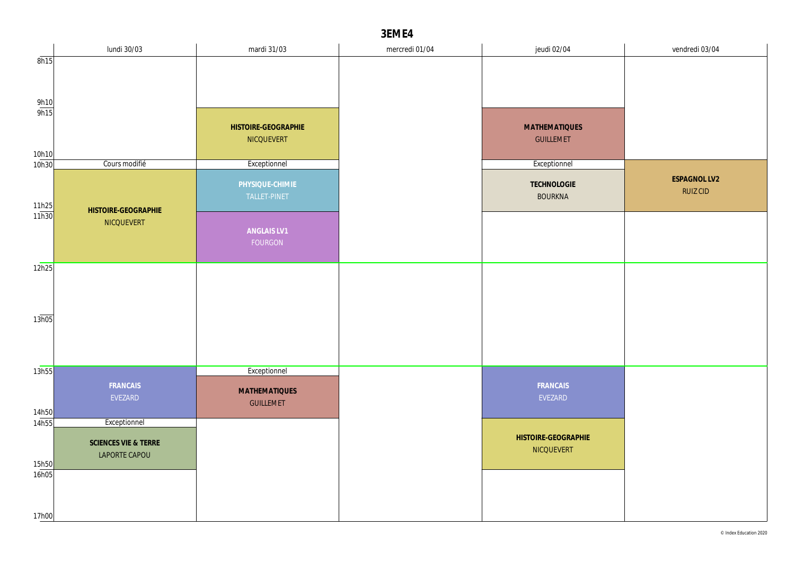|                     | lundi 30/03                           | mardi 31/03                       | mercredi 01/04 | jeudi 02/04                       | vendredi 03/04                  |
|---------------------|---------------------------------------|-----------------------------------|----------------|-----------------------------------|---------------------------------|
| 8h15                |                                       |                                   |                |                                   |                                 |
|                     |                                       |                                   |                |                                   |                                 |
|                     |                                       |                                   |                |                                   |                                 |
| $\frac{9h10}{9h15}$ |                                       |                                   |                |                                   |                                 |
|                     |                                       | HISTOIRE-GEOGRAPHIE               |                | <b>MATHEMATIQUES</b>              |                                 |
| 10h10               |                                       | NICQUEVERT                        |                | <b>GUILLEMET</b>                  |                                 |
| 10h30               | Cours modifié                         | Exceptionnel                      |                | Exceptionnel                      |                                 |
|                     | HISTOIRE-GEOGRAPHIE                   | PHYSIQUE-CHIMIE<br>TALLET-PINET   |                | TECHNOLOGIE<br><b>BOURKNA</b>     | ESPAGNOL LV2<br><b>RUIZ CID</b> |
| 11h25<br>11h30      | NICQUEVERT                            | ANGLAIS LV1<br>FOURGON            |                |                                   |                                 |
| 12h25               |                                       |                                   |                |                                   |                                 |
|                     |                                       |                                   |                |                                   |                                 |
|                     |                                       |                                   |                |                                   |                                 |
| 13h05               |                                       |                                   |                |                                   |                                 |
|                     |                                       |                                   |                |                                   |                                 |
| 13h55               |                                       | Exceptionnel                      |                |                                   |                                 |
| 14h50               | FRANCAIS<br>EVEZARD                   | MATHEMATIQUES<br><b>GUILLEMET</b> |                | FRANCAIS<br>EVEZARD               |                                 |
| 14h55               | Exceptionnel                          |                                   |                |                                   |                                 |
| 15h50               | SCIENCES VIE & TERRE<br>LAPORTE CAPOU |                                   |                | HISTOIRE-GEOGRAPHIE<br>NICQUEVERT |                                 |
| 16h05               |                                       |                                   |                |                                   |                                 |
|                     |                                       |                                   |                |                                   |                                 |
| 17h00               |                                       |                                   |                |                                   |                                 |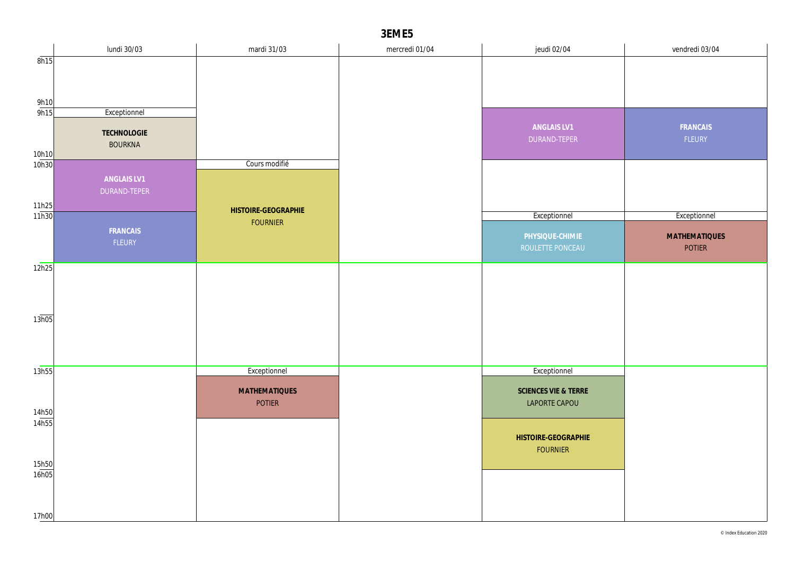|                     | lundi 30/03    | mardi 31/03                            | mercredi 01/04 | jeudi 02/04                 | vendredi 03/04       |
|---------------------|----------------|----------------------------------------|----------------|-----------------------------|----------------------|
| 8h15                |                |                                        |                |                             |                      |
|                     |                |                                        |                |                             |                      |
|                     |                |                                        |                |                             |                      |
| $\frac{9h10}{9h15}$ |                |                                        |                |                             |                      |
|                     | Exceptionnel   |                                        |                |                             |                      |
|                     | TECHNOLOGIE    |                                        |                | ANGLAIS LV1<br>DURAND-TEPER | FRANCAIS<br>FLEURY   |
|                     | <b>BOURKNA</b> |                                        |                |                             |                      |
| 10h10<br>10h30      |                | Cours modifié                          |                |                             |                      |
|                     | ANGLAIS LV1    |                                        |                |                             |                      |
|                     | DURAND-TEPER   |                                        |                |                             |                      |
| 11h25               |                |                                        |                |                             |                      |
| 11h30               |                | HISTOIRE-GEOGRAPHIE<br><b>FOURNIER</b> |                | Exceptionnel                | Exceptionnel         |
|                     | FRANCAIS       |                                        |                | PHYSIQUE-CHIMIE             | <b>MATHEMATIQUES</b> |
|                     | FLEURY         |                                        |                | ROULETTE PONCEAU            | POTIER               |
|                     |                |                                        |                |                             |                      |
| 12h25               |                |                                        |                |                             |                      |
|                     |                |                                        |                |                             |                      |
|                     |                |                                        |                |                             |                      |
| 13h05               |                |                                        |                |                             |                      |
|                     |                |                                        |                |                             |                      |
|                     |                |                                        |                |                             |                      |
|                     |                |                                        |                |                             |                      |
| 13h55               |                | Exceptionnel                           |                | Exceptionnel                |                      |
|                     |                | <b>MATHEMATIQUES</b>                   |                | SCIENCES VIE & TERRE        |                      |
|                     |                | <b>POTIER</b>                          |                | LAPORTE CAPOU               |                      |
| 14h50               |                |                                        |                |                             |                      |
| 14h55               |                |                                        |                |                             |                      |
|                     |                |                                        |                | HISTOIRE-GEOGRAPHIE         |                      |
|                     |                |                                        |                | <b>FOURNIER</b>             |                      |
| 15h50<br>16h05      |                |                                        |                |                             |                      |
|                     |                |                                        |                |                             |                      |
|                     |                |                                        |                |                             |                      |
| 17h00               |                |                                        |                |                             |                      |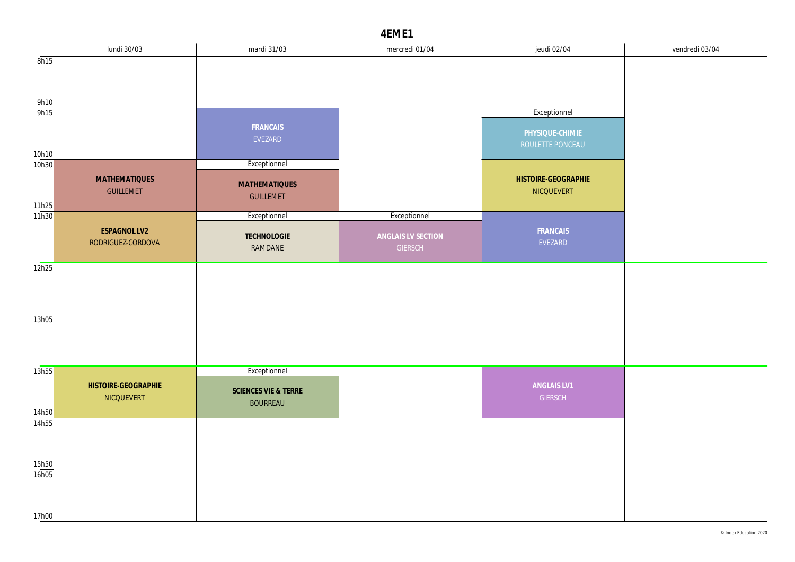|                       | lundi 30/03                              | mardi 31/03          | mercredi 01/04     | jeudi 02/04                              | vendredi 03/04 |
|-----------------------|------------------------------------------|----------------------|--------------------|------------------------------------------|----------------|
| 8h15                  |                                          |                      |                    |                                          |                |
|                       |                                          |                      |                    |                                          |                |
|                       |                                          |                      |                    |                                          |                |
| $\frac{9h10}{9h15}$   |                                          |                      |                    | Exceptionnel                             |                |
|                       |                                          | FRANCAIS             |                    |                                          |                |
|                       |                                          | EVEZARD              |                    | PHYSIQUE-CHIMIE<br>ROULETTE PONCEAU      |                |
| 10h10                 |                                          |                      |                    |                                          |                |
| 10h30                 |                                          | Exceptionnel         |                    |                                          |                |
|                       | <b>MATHEMATIQUES</b><br><b>GUILLEMET</b> | <b>MATHEMATIQUES</b> |                    | HISTOIRE-GEOGRAPHIE<br><b>NICQUEVERT</b> |                |
|                       |                                          | <b>GUILLEMET</b>     |                    |                                          |                |
| $\frac{11h25}{11h30}$ |                                          | Exceptionnel         | Exceptionnel       |                                          |                |
|                       | ESPAGNOL LV2                             | TECHNOLOGIE          | ANGLAIS LV SECTION | FRANCAIS                                 |                |
|                       | RODRIGUEZ-CORDOVA                        | RAMDANE              | <b>GIERSCH</b>     | EVEZARD                                  |                |
| 12h25                 |                                          |                      |                    |                                          |                |
|                       |                                          |                      |                    |                                          |                |
|                       |                                          |                      |                    |                                          |                |
|                       |                                          |                      |                    |                                          |                |
| 13h05                 |                                          |                      |                    |                                          |                |
|                       |                                          |                      |                    |                                          |                |
|                       |                                          |                      |                    |                                          |                |
| 13h55                 |                                          | Exceptionnel         |                    |                                          |                |
|                       | HISTOIRE-GEOGRAPHIE                      | SCIENCES VIE & TERRE |                    | ANGLAIS LV1                              |                |
|                       | NICQUEVERT                               | <b>BOURREAU</b>      |                    | <b>GIERSCH</b>                           |                |
| 14h50<br>14h55        |                                          |                      |                    |                                          |                |
|                       |                                          |                      |                    |                                          |                |
|                       |                                          |                      |                    |                                          |                |
| 15h50                 |                                          |                      |                    |                                          |                |
| 16h05                 |                                          |                      |                    |                                          |                |
|                       |                                          |                      |                    |                                          |                |
| 17h00                 |                                          |                      |                    |                                          |                |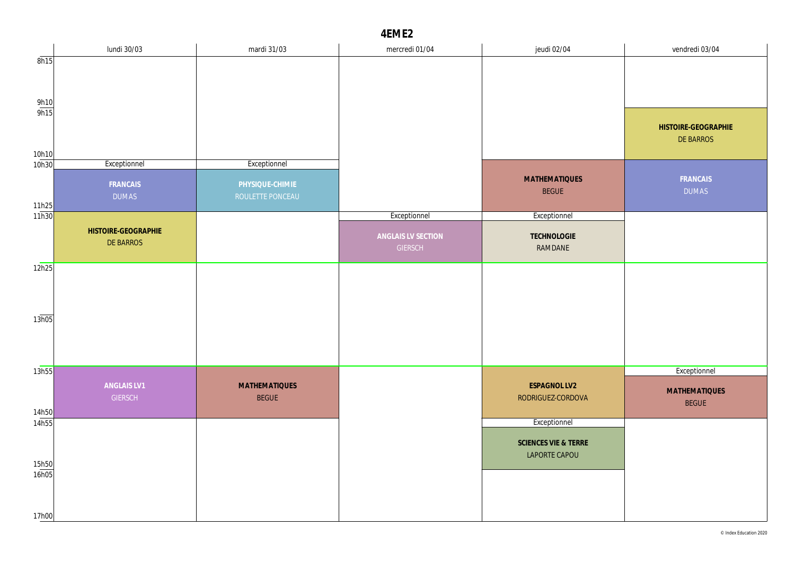|                     | lundi 30/03                   | mardi 31/03                          | mercredi 01/04     | jeudi 02/04                           | vendredi 03/04                       |
|---------------------|-------------------------------|--------------------------------------|--------------------|---------------------------------------|--------------------------------------|
| 8h15                |                               |                                      |                    |                                       |                                      |
|                     |                               |                                      |                    |                                       |                                      |
| $\frac{9h10}{9h15}$ |                               |                                      |                    |                                       |                                      |
|                     |                               |                                      |                    |                                       | HISTOIRE-GEOGRAPHIE<br>DE BARROS     |
| 10h10<br>10h30      | Exceptionnel                  | Exceptionnel                         |                    |                                       |                                      |
|                     | FRANCAIS<br><b>DUMAS</b>      | PHYSIQUE-CHIMIE<br>ROULETTE PONCEAU  |                    | <b>MATHEMATIQUES</b><br><b>BEGUE</b>  | FRANCAIS<br><b>DUMAS</b>             |
| 11h25<br>11h30      |                               |                                      |                    |                                       |                                      |
|                     |                               |                                      | Exceptionnel       | Exceptionnel                          |                                      |
|                     | HISTOIRE-GEOGRAPHIE           |                                      | ANGLAIS LV SECTION | <b>TECHNOLOGIE</b>                    |                                      |
|                     | DE BARROS                     |                                      | <b>GIERSCH</b>     | RAMDANE                               |                                      |
| 12h25               |                               |                                      |                    |                                       |                                      |
|                     |                               |                                      |                    |                                       |                                      |
| 13h05               |                               |                                      |                    |                                       |                                      |
|                     |                               |                                      |                    |                                       |                                      |
|                     |                               |                                      |                    |                                       |                                      |
| 13h55               |                               |                                      |                    |                                       | Exceptionnel                         |
| 14h50               | ANGLAIS LV1<br><b>GIERSCH</b> | <b>MATHEMATIQUES</b><br><b>BEGUE</b> |                    | ESPAGNOL LV2<br>RODRIGUEZ-CORDOVA     | <b>MATHEMATIQUES</b><br><b>BEGUE</b> |
| 14h55               |                               |                                      |                    | Exceptionnel                          |                                      |
|                     |                               |                                      |                    | SCIENCES VIE & TERRE<br>LAPORTE CAPOU |                                      |
| 15h50<br>16h05      |                               |                                      |                    |                                       |                                      |
|                     |                               |                                      |                    |                                       |                                      |
| 17h00               |                               |                                      |                    |                                       |                                      |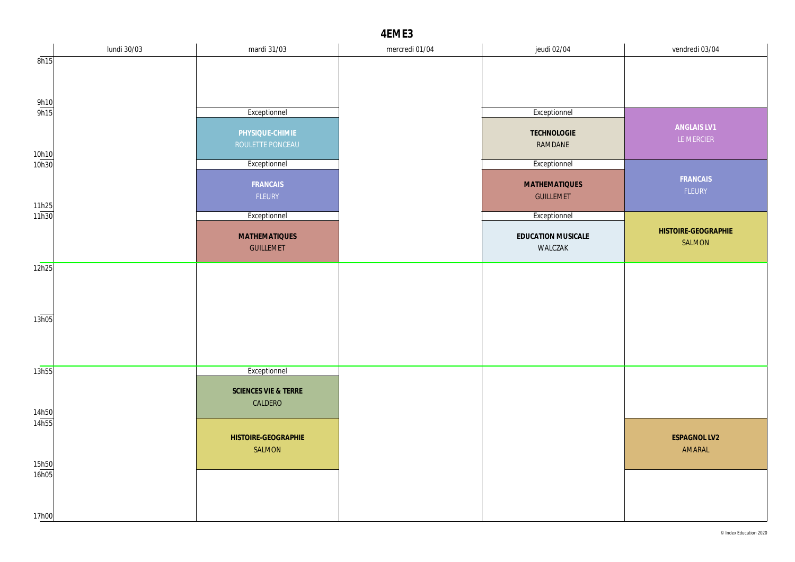|                       | lundi 30/03 | mardi 31/03                     | mercredi 01/04 | jeudi 02/04                              | vendredi 03/04                |
|-----------------------|-------------|---------------------------------|----------------|------------------------------------------|-------------------------------|
| 8h15                  |             |                                 |                |                                          |                               |
|                       |             |                                 |                |                                          |                               |
|                       |             |                                 |                |                                          |                               |
| $\frac{9h10}{9h15}$   |             | Exceptionnel                    |                | Exceptionnel                             |                               |
|                       |             | PHYSIQUE-CHIMIE                 |                | TECHNOLOGIE                              | ANGLAIS LV1                   |
|                       |             | ROULETTE PONCEAU                |                | RAMDANE                                  | LE MERCIER                    |
| 10h10<br>10h30        |             | Exceptionnel                    |                | Exceptionnel                             |                               |
|                       |             |                                 |                |                                          | FRANCAIS                      |
|                       |             | FRANCAIS<br>FLEURY              |                | <b>MATHEMATIQUES</b><br><b>GUILLEMET</b> | FLEURY                        |
| $\frac{11h25}{11h30}$ |             |                                 |                |                                          |                               |
|                       |             | Exceptionnel                    |                | Exceptionnel                             |                               |
|                       |             | <b>MATHEMATIQUES</b>            |                | EDUCATION MUSICALE                       | HISTOIRE-GEOGRAPHIE<br>SALMON |
|                       |             | <b>GUILLEMET</b>                |                | WALCZAK                                  |                               |
| 12h25                 |             |                                 |                |                                          |                               |
|                       |             |                                 |                |                                          |                               |
|                       |             |                                 |                |                                          |                               |
| 13h05                 |             |                                 |                |                                          |                               |
|                       |             |                                 |                |                                          |                               |
|                       |             |                                 |                |                                          |                               |
| 13h55                 |             | Exceptionnel                    |                |                                          |                               |
|                       |             |                                 |                |                                          |                               |
|                       |             | SCIENCES VIE & TERRE<br>CALDERO |                |                                          |                               |
| 14h50                 |             |                                 |                |                                          |                               |
| 14h55                 |             | HISTOIRE-GEOGRAPHIE             |                |                                          | ESPAGNOL LV2                  |
|                       |             | SALMON                          |                |                                          | AMARAL                        |
| 15h50                 |             |                                 |                |                                          |                               |
| 16h05                 |             |                                 |                |                                          |                               |
|                       |             |                                 |                |                                          |                               |
| 17h00                 |             |                                 |                |                                          |                               |
|                       |             |                                 |                |                                          |                               |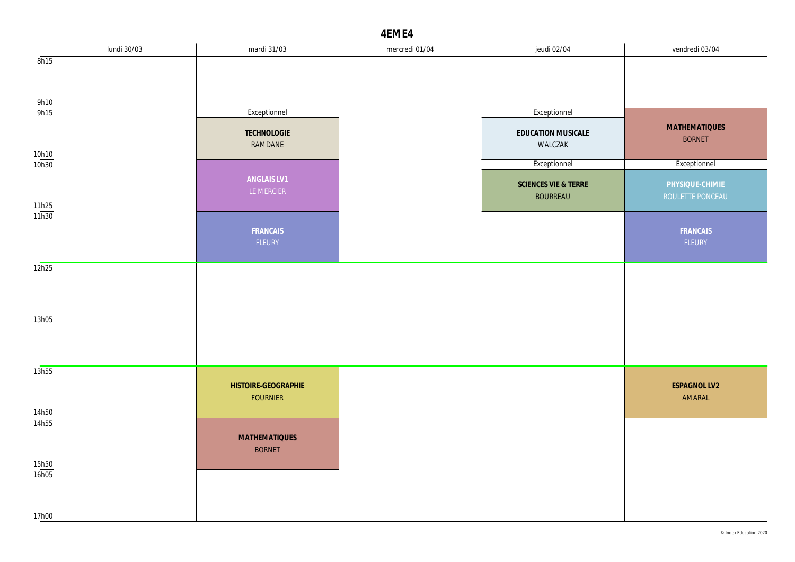|                       | lundi 30/03 | mardi 31/03                            | mercredi 01/04 | jeudi 02/04                             | vendredi 03/04                        |
|-----------------------|-------------|----------------------------------------|----------------|-----------------------------------------|---------------------------------------|
| 8h15                  |             |                                        |                |                                         |                                       |
| $\frac{9h10}{9h15}$   |             | Exceptionnel                           |                | Exceptionnel                            |                                       |
| 10h10                 |             | TECHNOLOGIE<br>RAMDANE                 |                | EDUCATION MUSICALE<br>WALCZAK           | <b>MATHEMATIQUES</b><br><b>BORNET</b> |
| 10h30                 |             |                                        |                | Exceptionnel                            | Exceptionnel                          |
| $\frac{11h25}{11h30}$ |             | ANGLAIS LV1<br>LE MERCIER              |                | SCIENCES VIE & TERRE<br><b>BOURREAU</b> | PHYSIQUE-CHIMIE<br>ROULETTE PONCEAU   |
|                       |             | FRANCAIS<br>FLEURY                     |                |                                         | FRANCAIS<br>FLEURY                    |
| 12h25                 |             |                                        |                |                                         |                                       |
| 13h05                 |             |                                        |                |                                         |                                       |
| 13h55                 |             |                                        |                |                                         |                                       |
| 14h50                 |             | HISTOIRE-GEOGRAPHIE<br><b>FOURNIER</b> |                |                                         | ESPAGNOL LV2<br>AMARAL                |
| 14h55<br>15h50        |             | <b>MATHEMATIQUES</b><br><b>BORNET</b>  |                |                                         |                                       |
| 16h05<br>17h00        |             |                                        |                |                                         |                                       |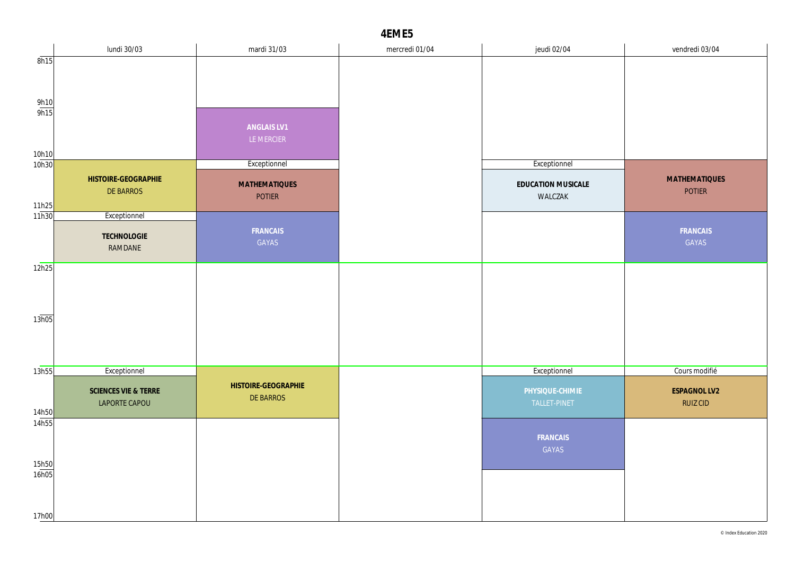|                   | lundi 30/03                     | mardi 31/03                      | mercredi 01/04 | jeudi 02/04        | vendredi 03/04       |
|-------------------|---------------------------------|----------------------------------|----------------|--------------------|----------------------|
| 8h15              |                                 |                                  |                |                    |                      |
|                   |                                 |                                  |                |                    |                      |
|                   |                                 |                                  |                |                    |                      |
| $rac{9h10}{9h15}$ |                                 |                                  |                |                    |                      |
|                   |                                 | ANGLAIS LV1                      |                |                    |                      |
|                   |                                 | LE MERCIER                       |                |                    |                      |
| 10h10<br>10h30    |                                 | Exceptionnel                     |                | Exceptionnel       |                      |
|                   | HISTOIRE-GEOGRAPHIE             |                                  |                |                    | <b>MATHEMATIQUES</b> |
|                   | DE BARROS                       | <b>MATHEMATIQUES</b>             |                | EDUCATION MUSICALE | POTIER               |
| 11h25             |                                 | <b>POTIER</b>                    |                | WALCZAK            |                      |
| 11h30             | Exceptionnel                    |                                  |                |                    |                      |
|                   | TECHNOLOGIE                     | FRANCAIS                         |                |                    | FRANCAIS             |
|                   | RAMDANE                         | GAYAS                            |                |                    | GAYAS                |
| 12h25             |                                 |                                  |                |                    |                      |
|                   |                                 |                                  |                |                    |                      |
|                   |                                 |                                  |                |                    |                      |
| 13h05             |                                 |                                  |                |                    |                      |
|                   |                                 |                                  |                |                    |                      |
|                   |                                 |                                  |                |                    |                      |
|                   |                                 |                                  |                |                    |                      |
| 13h55             | Exceptionnel                    |                                  |                | Exceptionnel       | Cours modifié        |
|                   | <b>SCIENCES VIE &amp; TERRE</b> | HISTOIRE-GEOGRAPHIE<br>DE BARROS |                | PHYSIQUE-CHIMIE    | <b>ESPAGNOL LV2</b>  |
| 14h50             | LAPORTE CAPOU                   |                                  |                | TALLET-PINET       | <b>RUIZ CID</b>      |
| 14h55             |                                 |                                  |                |                    |                      |
|                   |                                 |                                  |                | FRANCAIS           |                      |
|                   |                                 |                                  |                | GAYAS              |                      |
| 15h50<br>16h05    |                                 |                                  |                |                    |                      |
|                   |                                 |                                  |                |                    |                      |
|                   |                                 |                                  |                |                    |                      |
| 17h00             |                                 |                                  |                |                    |                      |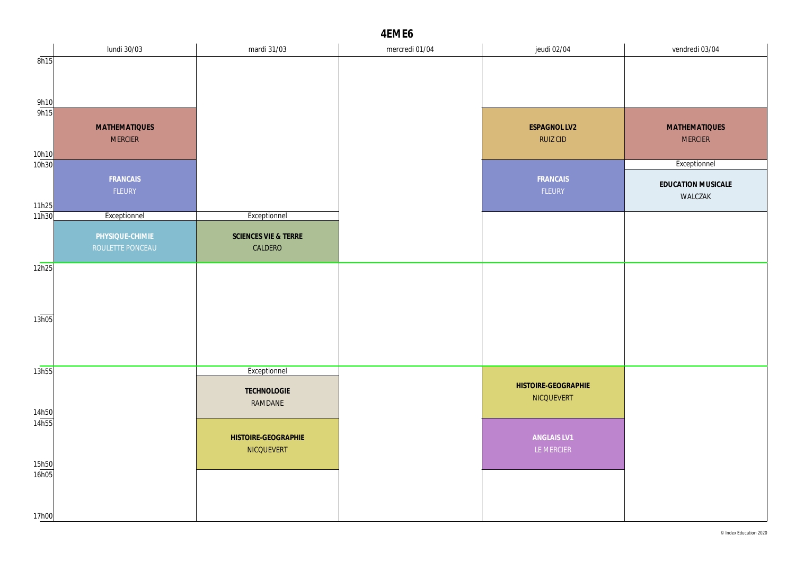|                       | lundi 30/03                         | mardi 31/03                     | mercredi 01/04 | jeudi 02/04                       | vendredi 03/04       |
|-----------------------|-------------------------------------|---------------------------------|----------------|-----------------------------------|----------------------|
| 8h15                  |                                     |                                 |                |                                   |                      |
|                       |                                     |                                 |                |                                   |                      |
|                       |                                     |                                 |                |                                   |                      |
| $\frac{9h10}{9h15}$   |                                     |                                 |                |                                   |                      |
|                       | <b>MATHEMATIQUES</b>                |                                 |                | ESPAGNOL LV2                      | <b>MATHEMATIQUES</b> |
|                       | <b>MERCIER</b>                      |                                 |                | <b>RUIZ CID</b>                   | <b>MERCIER</b>       |
| 10h10                 |                                     |                                 |                |                                   |                      |
| 10h30                 |                                     |                                 |                |                                   | Exceptionnel         |
|                       | FRANCAIS<br>FLEURY                  |                                 |                | FRANCAIS<br>FLEURY                | EDUCATION MUSICALE   |
| 11h25                 |                                     |                                 |                |                                   | WALCZAK              |
| 11h30                 | Exceptionnel                        | Exceptionnel                    |                |                                   |                      |
|                       |                                     |                                 |                |                                   |                      |
|                       | PHYSIQUE-CHIMIE<br>ROULETTE PONCEAU | SCIENCES VIE & TERRE<br>CALDERO |                |                                   |                      |
|                       |                                     |                                 |                |                                   |                      |
| 12h25                 |                                     |                                 |                |                                   |                      |
|                       |                                     |                                 |                |                                   |                      |
|                       |                                     |                                 |                |                                   |                      |
| 13h05                 |                                     |                                 |                |                                   |                      |
|                       |                                     |                                 |                |                                   |                      |
|                       |                                     |                                 |                |                                   |                      |
|                       |                                     |                                 |                |                                   |                      |
| 13h55                 |                                     | Exceptionnel                    |                |                                   |                      |
|                       |                                     | TECHNOLOGIE                     |                | HISTOIRE-GEOGRAPHIE<br>NICQUEVERT |                      |
|                       |                                     | RAMDANE                         |                |                                   |                      |
| $\frac{14h50}{14h55}$ |                                     |                                 |                |                                   |                      |
|                       |                                     | HISTOIRE-GEOGRAPHIE             |                | ANGLAIS LV1                       |                      |
|                       |                                     | NICQUEVERT                      |                | LE MERCIER                        |                      |
| 15h50<br>16h05        |                                     |                                 |                |                                   |                      |
|                       |                                     |                                 |                |                                   |                      |
|                       |                                     |                                 |                |                                   |                      |
| 17h00                 |                                     |                                 |                |                                   |                      |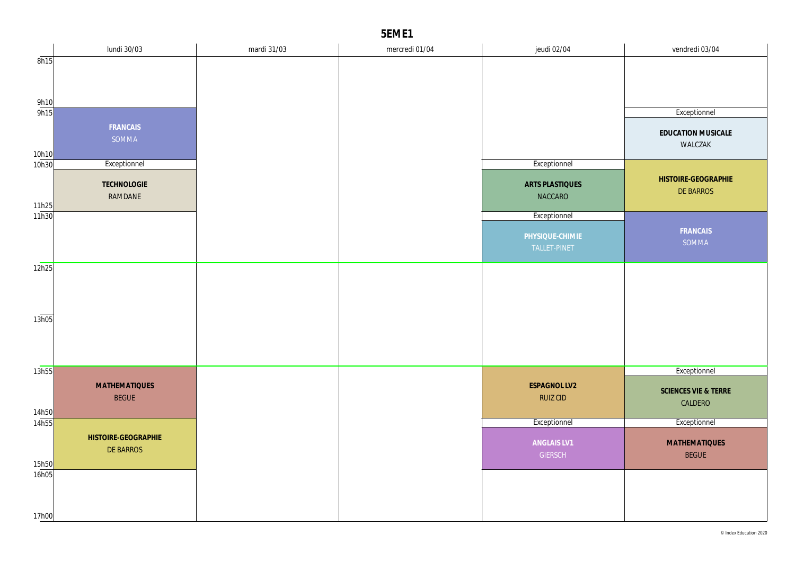|                | lundi 30/03                      | mardi 31/03 | mercredi 01/04 | jeudi 02/04     | vendredi 03/04                   |
|----------------|----------------------------------|-------------|----------------|-----------------|----------------------------------|
| 8h15           |                                  |             |                |                 |                                  |
|                |                                  |             |                |                 |                                  |
|                |                                  |             |                |                 |                                  |
| 9h10           |                                  |             |                |                 |                                  |
| 9h15           |                                  |             |                |                 | Exceptionnel                     |
|                | FRANCAIS                         |             |                |                 | EDUCATION MUSICALE               |
|                | SOMMA                            |             |                |                 | WALCZAK                          |
| 10h10<br>10h30 | Exceptionnel                     |             |                | Exceptionnel    |                                  |
|                |                                  |             |                |                 |                                  |
|                | TECHNOLOGIE                      |             |                | ARTS PLASTIQUES | HISTOIRE-GEOGRAPHIE<br>DE BARROS |
|                | RAMDANE                          |             |                | <b>NACCARO</b>  |                                  |
| 11h25<br>11h30 |                                  |             |                | Exceptionnel    |                                  |
|                |                                  |             |                |                 | FRANCAIS                         |
|                |                                  |             |                | PHYSIQUE-CHIMIE | SOMMA                            |
|                |                                  |             |                | TALLET-PINET    |                                  |
| 12h25          |                                  |             |                |                 |                                  |
|                |                                  |             |                |                 |                                  |
|                |                                  |             |                |                 |                                  |
|                |                                  |             |                |                 |                                  |
| 13h05          |                                  |             |                |                 |                                  |
|                |                                  |             |                |                 |                                  |
|                |                                  |             |                |                 |                                  |
|                |                                  |             |                |                 |                                  |
| 13h55          |                                  |             |                |                 | Exceptionnel                     |
|                | <b>MATHEMATIQUES</b>             |             |                | ESPAGNOL LV2    | SCIENCES VIE & TERRE             |
|                | <b>BEGUE</b>                     |             |                | <b>RUIZ CID</b> | CALDERO                          |
| 14h50<br>14h55 |                                  |             |                | Exceptionnel    | Exceptionnel                     |
|                |                                  |             |                |                 |                                  |
|                | HISTOIRE-GEOGRAPHIE<br>DE BARROS |             |                | ANGLAIS LV1     | <b>MATHEMATIQUES</b>             |
| 15h50          |                                  |             |                | <b>GIERSCH</b>  | <b>BEGUE</b>                     |
| 16h05          |                                  |             |                |                 |                                  |
|                |                                  |             |                |                 |                                  |
|                |                                  |             |                |                 |                                  |
| 17h00          |                                  |             |                |                 |                                  |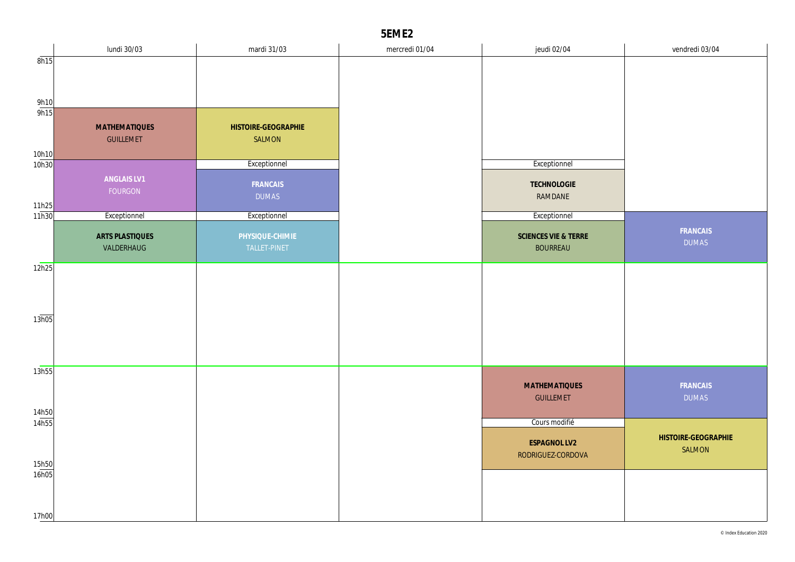|              | lundi 30/03          | mardi 31/03              | mercredi 01/04 | jeudi 02/04                              | vendredi 03/04      |
|--------------|----------------------|--------------------------|----------------|------------------------------------------|---------------------|
| 8h15         |                      |                          |                |                                          |                     |
|              |                      |                          |                |                                          |                     |
|              |                      |                          |                |                                          |                     |
| 9h10<br>9h15 |                      |                          |                |                                          |                     |
|              | <b>MATHEMATIQUES</b> | HISTOIRE-GEOGRAPHIE      |                |                                          |                     |
|              | <b>GUILLEMET</b>     | SALMON                   |                |                                          |                     |
| 10h10        |                      |                          |                |                                          |                     |
| 10h30        |                      | Exceptionnel             |                | Exceptionnel                             |                     |
|              | ANGLAIS LV1          |                          |                |                                          |                     |
|              | FOURGON              | FRANCAIS<br><b>DUMAS</b> |                | TECHNOLOGIE                              |                     |
| 11h25        |                      |                          |                | RAMDANE                                  |                     |
| 11h30        | Exceptionnel         | Exceptionnel             |                | Exceptionnel                             |                     |
|              | ARTS PLASTIQUES      | PHYSIQUE-CHIMIE          |                | SCIENCES VIE & TERRE                     | FRANCAIS            |
|              | VALDERHAUG           | TALLET-PINET             |                | <b>BOURREAU</b>                          | <b>DUMAS</b>        |
|              |                      |                          |                |                                          |                     |
| 12h25        |                      |                          |                |                                          |                     |
|              |                      |                          |                |                                          |                     |
|              |                      |                          |                |                                          |                     |
|              |                      |                          |                |                                          |                     |
| 13h05        |                      |                          |                |                                          |                     |
|              |                      |                          |                |                                          |                     |
|              |                      |                          |                |                                          |                     |
| 13h55        |                      |                          |                |                                          |                     |
|              |                      |                          |                | <b>MATHEMATIQUES</b>                     | FRANCAIS            |
|              |                      |                          |                | <b>GUILLEMET</b>                         | <b>DUMAS</b>        |
| 14h50        |                      |                          |                |                                          |                     |
| 14h55        |                      |                          |                | Cours modifié                            |                     |
|              |                      |                          |                |                                          | HISTOIRE-GEOGRAPHIE |
|              |                      |                          |                | <b>ESPAGNOL LV2</b><br>RODRIGUEZ-CORDOVA | <b>SALMON</b>       |
| 15h50        |                      |                          |                |                                          |                     |
| 16h05        |                      |                          |                |                                          |                     |
|              |                      |                          |                |                                          |                     |
|              |                      |                          |                |                                          |                     |
| 17h00        |                      |                          |                |                                          |                     |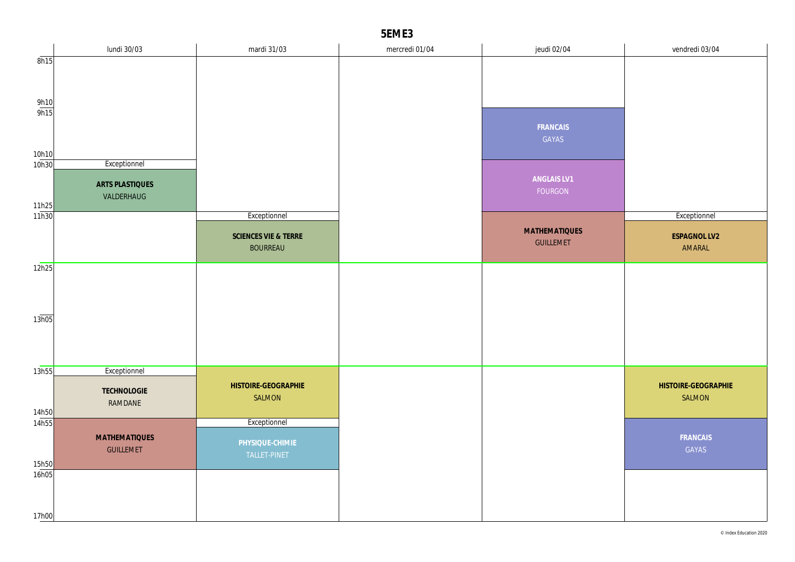|                       | lundi 30/03          | mardi 31/03          | mercredi 01/04 | jeudi 02/04                              | vendredi 03/04      |
|-----------------------|----------------------|----------------------|----------------|------------------------------------------|---------------------|
| 8h15                  |                      |                      |                |                                          |                     |
|                       |                      |                      |                |                                          |                     |
|                       |                      |                      |                |                                          |                     |
| $\frac{9h10}{9h15}$   |                      |                      |                |                                          |                     |
|                       |                      |                      |                | FRANCAIS                                 |                     |
|                       |                      |                      |                | GAYAS                                    |                     |
| 10h10                 |                      |                      |                |                                          |                     |
| 10h30                 | Exceptionnel         |                      |                |                                          |                     |
|                       | ARTS PLASTIQUES      |                      |                | ANGLAIS LV1                              |                     |
|                       | VALDERHAUG           |                      |                | FOURGON                                  |                     |
| $\frac{11h25}{11h30}$ |                      |                      |                |                                          |                     |
|                       |                      | Exceptionnel         |                |                                          | Exceptionnel        |
|                       |                      | SCIENCES VIE & TERRE |                | <b>MATHEMATIQUES</b><br><b>GUILLEMET</b> | ESPAGNOL LV2        |
|                       |                      | <b>BOURREAU</b>      |                |                                          | AMARAL              |
| 12h25                 |                      |                      |                |                                          |                     |
|                       |                      |                      |                |                                          |                     |
|                       |                      |                      |                |                                          |                     |
|                       |                      |                      |                |                                          |                     |
| 13h05                 |                      |                      |                |                                          |                     |
|                       |                      |                      |                |                                          |                     |
|                       |                      |                      |                |                                          |                     |
| 13h55                 | Exceptionnel         |                      |                |                                          |                     |
|                       | <b>TECHNOLOGIE</b>   | HISTOIRE-GEOGRAPHIE  |                |                                          | HISTOIRE-GEOGRAPHIE |
|                       | RAMDANE              | SALMON               |                |                                          | SALMON              |
| 14h50                 |                      |                      |                |                                          |                     |
| 14h55                 |                      | Exceptionnel         |                |                                          |                     |
|                       | <b>MATHEMATIQUES</b> | PHYSIQUE-CHIMIE      |                |                                          | FRANCAIS            |
|                       | <b>GUILLEMET</b>     | TALLET-PINET         |                |                                          | GAYAS               |
| 15h50<br>16h05        |                      |                      |                |                                          |                     |
|                       |                      |                      |                |                                          |                     |
|                       |                      |                      |                |                                          |                     |
| 17h00                 |                      |                      |                |                                          |                     |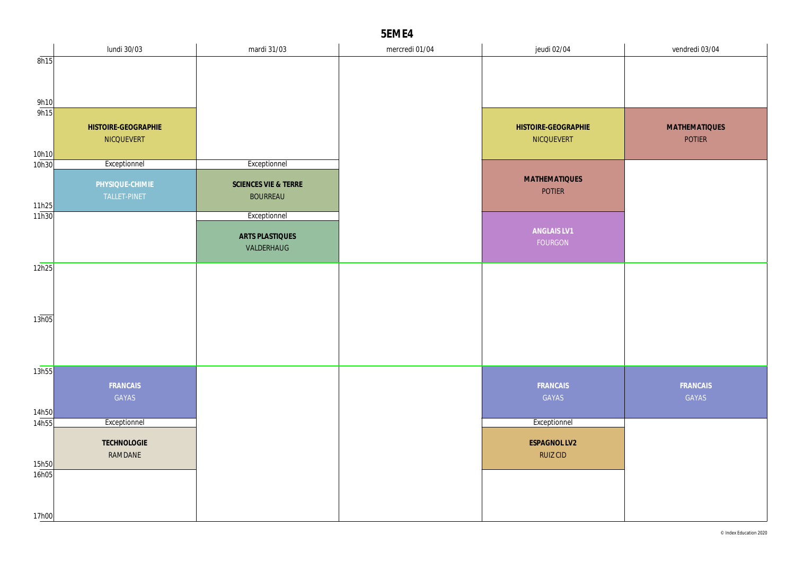|                     | lundi 30/03         | mardi 31/03          | mercredi 01/04 | jeudi 02/04          | vendredi 03/04       |
|---------------------|---------------------|----------------------|----------------|----------------------|----------------------|
| 8h15                |                     |                      |                |                      |                      |
|                     |                     |                      |                |                      |                      |
|                     |                     |                      |                |                      |                      |
| $\frac{9h10}{9h15}$ |                     |                      |                |                      |                      |
|                     |                     |                      |                |                      |                      |
|                     | HISTOIRE-GEOGRAPHIE |                      |                | HISTOIRE-GEOGRAPHIE  | <b>MATHEMATIQUES</b> |
|                     | NICQUEVERT          |                      |                | NICQUEVERT           | <b>POTIER</b>        |
| 10h10               |                     |                      |                |                      |                      |
| 10h30               | Exceptionnel        | Exceptionnel         |                |                      |                      |
|                     | PHYSIQUE-CHIMIE     | SCIENCES VIE & TERRE |                | <b>MATHEMATIQUES</b> |                      |
|                     | TALLET-PINET        | <b>BOURREAU</b>      |                | <b>POTIER</b>        |                      |
| 11h25               |                     |                      |                |                      |                      |
| 11h30               |                     | Exceptionnel         |                |                      |                      |
|                     |                     | ARTS PLASTIQUES      |                | ANGLAIS LV1          |                      |
|                     |                     | VALDERHAUG           |                | FOURGON              |                      |
|                     |                     |                      |                |                      |                      |
| 12h25               |                     |                      |                |                      |                      |
|                     |                     |                      |                |                      |                      |
|                     |                     |                      |                |                      |                      |
|                     |                     |                      |                |                      |                      |
| 13h05               |                     |                      |                |                      |                      |
|                     |                     |                      |                |                      |                      |
|                     |                     |                      |                |                      |                      |
| 13h55               |                     |                      |                |                      |                      |
|                     | FRANCAIS            |                      |                | FRANCAIS             | FRANCAIS             |
|                     | GAYAS               |                      |                | GAYAS                | GAYAS                |
|                     |                     |                      |                |                      |                      |
| 14h50<br>14h55      | Exceptionnel        |                      |                | Exceptionnel         |                      |
|                     |                     |                      |                |                      |                      |
|                     | TECHNOLOGIE         |                      |                | ESPAGNOL LV2         |                      |
| 15h50               | RAMDANE             |                      |                | <b>RUIZ CID</b>      |                      |
| 16h05               |                     |                      |                |                      |                      |
|                     |                     |                      |                |                      |                      |
|                     |                     |                      |                |                      |                      |
| 17h00               |                     |                      |                |                      |                      |
|                     |                     |                      |                |                      |                      |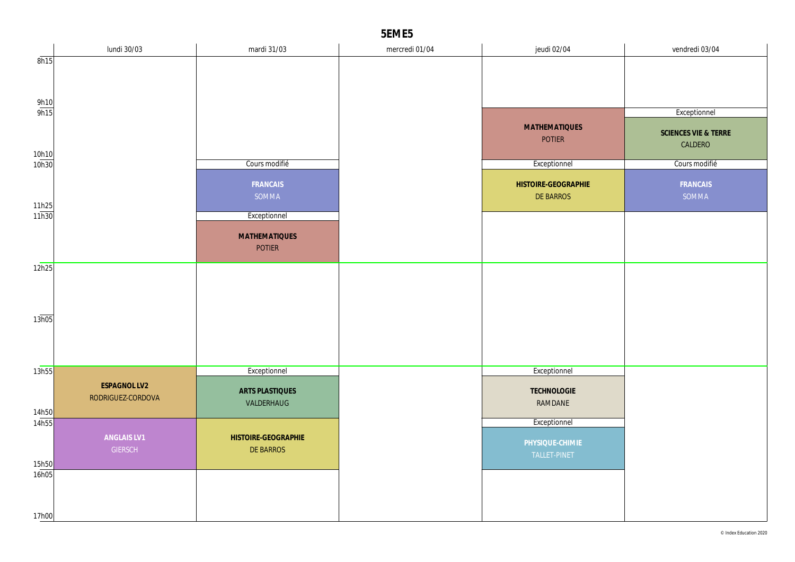|                     | lundi 30/03                       | mardi 31/03          | mercredi 01/04 | jeudi 02/04          | vendredi 03/04       |
|---------------------|-----------------------------------|----------------------|----------------|----------------------|----------------------|
| 8h15                |                                   |                      |                |                      |                      |
|                     |                                   |                      |                |                      |                      |
|                     |                                   |                      |                |                      |                      |
| $\frac{9h10}{9h15}$ |                                   |                      |                |                      | Exceptionnel         |
|                     |                                   |                      |                | <b>MATHEMATIQUES</b> | SCIENCES VIE & TERRE |
|                     |                                   |                      |                | <b>POTIER</b>        | CALDERO              |
| 10h10<br>10h30      |                                   | Cours modifié        |                |                      |                      |
|                     |                                   |                      |                | Exceptionnel         | Cours modifié        |
|                     |                                   | FRANCAIS             |                | HISTOIRE-GEOGRAPHIE  | FRANCAIS             |
|                     |                                   | SOMMA                |                | <b>DE BARROS</b>     | SOMMA                |
| 11h25<br>11h30      |                                   | Exceptionnel         |                |                      |                      |
|                     |                                   | <b>MATHEMATIQUES</b> |                |                      |                      |
|                     |                                   | <b>POTIER</b>        |                |                      |                      |
| 12h25               |                                   |                      |                |                      |                      |
|                     |                                   |                      |                |                      |                      |
|                     |                                   |                      |                |                      |                      |
| 13h05               |                                   |                      |                |                      |                      |
|                     |                                   |                      |                |                      |                      |
|                     |                                   |                      |                |                      |                      |
|                     |                                   |                      |                |                      |                      |
| 13h55               |                                   | Exceptionnel         |                | Exceptionnel         |                      |
|                     | ESPAGNOL LV2<br>RODRIGUEZ-CORDOVA | ARTS PLASTIQUES      |                | <b>TECHNOLOGIE</b>   |                      |
| 14h50               |                                   | VALDERHAUG           |                | RAMDANE              |                      |
| 14h55               |                                   |                      |                | Exceptionnel         |                      |
|                     | ANGLAIS LV1                       | HISTOIRE-GEOGRAPHIE  |                | PHYSIQUE-CHIMIE      |                      |
|                     | GIERSCH                           | DE BARROS            |                | TALLET-PINET         |                      |
| 15h50<br>16h05      |                                   |                      |                |                      |                      |
|                     |                                   |                      |                |                      |                      |
|                     |                                   |                      |                |                      |                      |
| 17h00               |                                   |                      |                |                      |                      |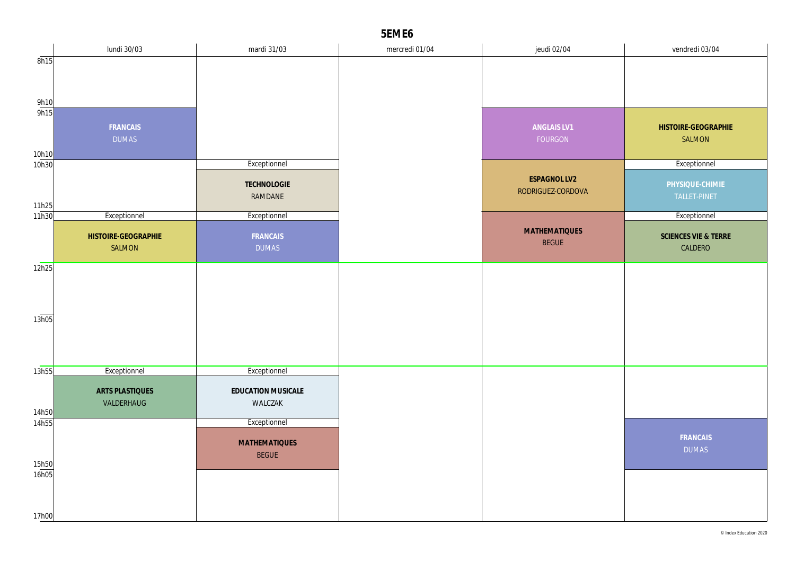|                     | lundi 30/03         | mardi 31/03          | mercredi 01/04 | jeudi 02/04          | vendredi 03/04       |
|---------------------|---------------------|----------------------|----------------|----------------------|----------------------|
| 8h15                |                     |                      |                |                      |                      |
|                     |                     |                      |                |                      |                      |
|                     |                     |                      |                |                      |                      |
| $\frac{9h10}{9h15}$ |                     |                      |                |                      |                      |
|                     | FRANCAIS            |                      |                | ANGLAIS LV1          | HISTOIRE-GEOGRAPHIE  |
|                     | <b>DUMAS</b>        |                      |                | FOURGON              | SALMON               |
| 10h10               |                     |                      |                |                      |                      |
| 10h30               |                     | Exceptionnel         |                |                      | Exceptionnel         |
|                     |                     | TECHNOLOGIE          |                | <b>ESPAGNOL LV2</b>  | PHYSIQUE-CHIMIE      |
|                     |                     | RAMDANE              |                | RODRIGUEZ-CORDOVA    | TALLET-PINET         |
| 11h25<br>11h30      | Exceptionnel        | Exceptionnel         |                |                      | Exceptionnel         |
|                     |                     |                      |                | <b>MATHEMATIQUES</b> |                      |
|                     | HISTOIRE-GEOGRAPHIE | FRANCAIS             |                | <b>BEGUE</b>         | SCIENCES VIE & TERRE |
|                     | SALMON              | <b>DUMAS</b>         |                |                      | CALDERO              |
| 12h25               |                     |                      |                |                      |                      |
|                     |                     |                      |                |                      |                      |
|                     |                     |                      |                |                      |                      |
| 13h05               |                     |                      |                |                      |                      |
|                     |                     |                      |                |                      |                      |
|                     |                     |                      |                |                      |                      |
|                     |                     |                      |                |                      |                      |
| 13h55               | Exceptionnel        | Exceptionnel         |                |                      |                      |
|                     | ARTS PLASTIQUES     | EDUCATION MUSICALE   |                |                      |                      |
|                     | VALDERHAUG          | WALCZAK              |                |                      |                      |
| 14h50<br>14h55      |                     | Exceptionnel         |                |                      |                      |
|                     |                     |                      |                |                      | FRANCAIS             |
|                     |                     | <b>MATHEMATIQUES</b> |                |                      | <b>DUMAS</b>         |
| 15h50               |                     | <b>BEGUE</b>         |                |                      |                      |
| 16h05               |                     |                      |                |                      |                      |
|                     |                     |                      |                |                      |                      |
|                     |                     |                      |                |                      |                      |
| 17h00               |                     |                      |                |                      |                      |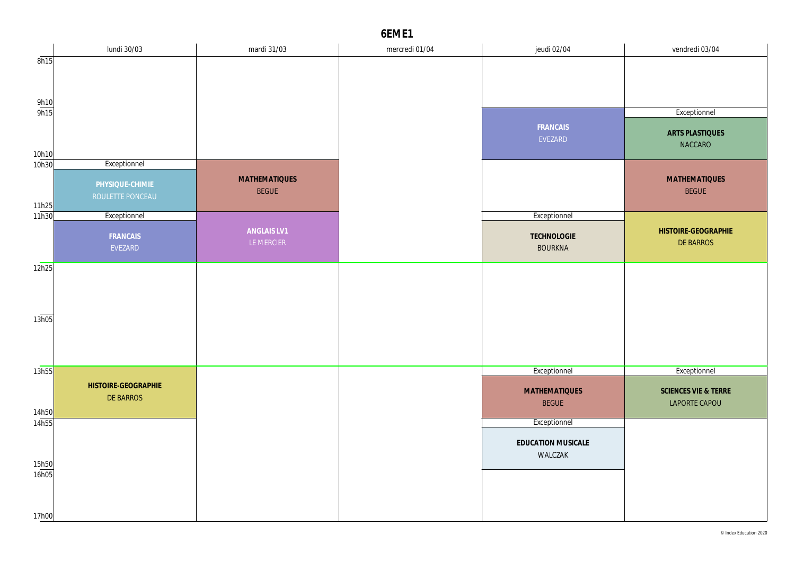|                     | lundi 30/03                         | mardi 31/03                          | mercredi 01/04 | jeudi 02/04                          | vendredi 03/04                        |
|---------------------|-------------------------------------|--------------------------------------|----------------|--------------------------------------|---------------------------------------|
| 8h15                |                                     |                                      |                |                                      |                                       |
|                     |                                     |                                      |                |                                      |                                       |
|                     |                                     |                                      |                |                                      |                                       |
| $\frac{9h10}{9h15}$ |                                     |                                      |                |                                      | Exceptionnel                          |
| 10h10               |                                     |                                      |                | FRANCAIS<br>EVEZARD                  | ARTS PLASTIQUES<br>NACCARO            |
| 10h30               | Exceptionnel                        |                                      |                |                                      |                                       |
| 11h25               | PHYSIQUE-CHIMIE<br>ROULETTE PONCEAU | <b>MATHEMATIQUES</b><br><b>BEGUE</b> |                |                                      | <b>MATHEMATIQUES</b><br><b>BEGUE</b>  |
| 11h30               | Exceptionnel                        |                                      |                | Exceptionnel                         |                                       |
|                     | FRANCAIS<br>EVEZARD                 | ANGLAIS LV1<br>LE MERCIER            |                | TECHNOLOGIE<br><b>BOURKNA</b>        | HISTOIRE-GEOGRAPHIE<br>DE BARROS      |
| 12h25               |                                     |                                      |                |                                      |                                       |
|                     |                                     |                                      |                |                                      |                                       |
| 13h05               |                                     |                                      |                |                                      |                                       |
|                     |                                     |                                      |                |                                      |                                       |
| 13h55               |                                     |                                      |                | Exceptionnel                         | Exceptionnel                          |
| 14h50               | HISTOIRE-GEOGRAPHIE<br>DE BARROS    |                                      |                | <b>MATHEMATIQUES</b><br><b>BEGUE</b> | SCIENCES VIE & TERRE<br>LAPORTE CAPOU |
| 14h55               |                                     |                                      |                | Exceptionnel                         |                                       |
| 15h50               |                                     |                                      |                | EDUCATION MUSICALE<br>WALCZAK        |                                       |
| 16h05               |                                     |                                      |                |                                      |                                       |
| 17h00               |                                     |                                      |                |                                      |                                       |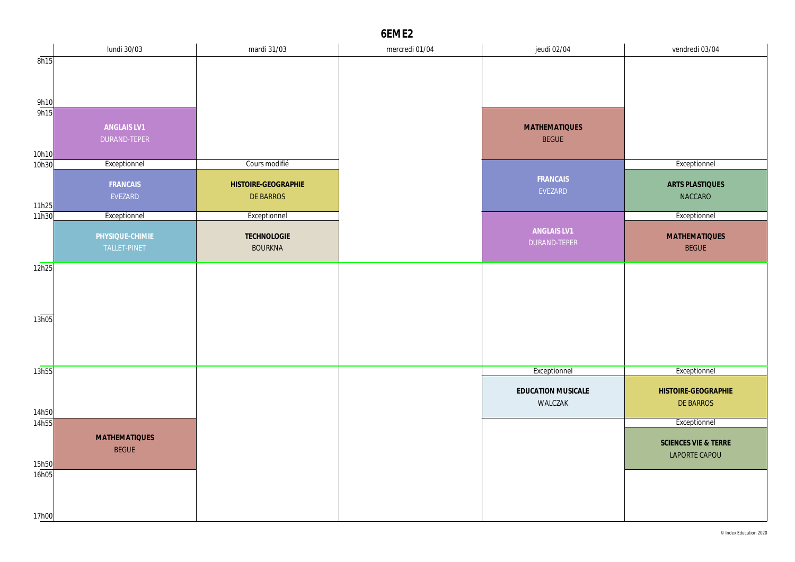|                | lundi 30/03                          | mardi 31/03         | mercredi 01/04 | jeudi 02/04          | vendredi 03/04       |
|----------------|--------------------------------------|---------------------|----------------|----------------------|----------------------|
| 8h15           |                                      |                     |                |                      |                      |
|                |                                      |                     |                |                      |                      |
|                |                                      |                     |                |                      |                      |
| 9h10           |                                      |                     |                |                      |                      |
| 9h15           |                                      |                     |                |                      |                      |
|                | ANGLAIS LV1                          |                     |                | <b>MATHEMATIQUES</b> |                      |
|                | DURAND-TEPER                         |                     |                | <b>BEGUE</b>         |                      |
| 10h10          |                                      |                     |                |                      |                      |
| 10h30          | Exceptionnel                         | Cours modifié       |                |                      | Exceptionnel         |
|                | FRANCAIS                             | HISTOIRE-GEOGRAPHIE |                | FRANCAIS             | ARTS PLASTIQUES      |
|                | EVEZARD                              | <b>DE BARROS</b>    |                | EVEZARD              | <b>NACCARO</b>       |
| 11h25          |                                      |                     |                |                      |                      |
| 11h30          | Exceptionnel                         | Exceptionnel        |                |                      | Exceptionnel         |
|                | PHYSIQUE-CHIMIE                      | <b>TECHNOLOGIE</b>  |                | ANGLAIS LV1          | <b>MATHEMATIQUES</b> |
|                | TALLET-PINET                         | <b>BOURKNA</b>      |                | DURAND-TEPER         | <b>BEGUE</b>         |
|                |                                      |                     |                |                      |                      |
| 12h25          |                                      |                     |                |                      |                      |
|                |                                      |                     |                |                      |                      |
|                |                                      |                     |                |                      |                      |
|                |                                      |                     |                |                      |                      |
| 13h05          |                                      |                     |                |                      |                      |
|                |                                      |                     |                |                      |                      |
|                |                                      |                     |                |                      |                      |
|                |                                      |                     |                |                      | Exceptionnel         |
| 13h55          |                                      |                     |                | Exceptionnel         |                      |
|                |                                      |                     |                | EDUCATION MUSICALE   | HISTOIRE-GEOGRAPHIE  |
|                |                                      |                     |                | WALCZAK              | <b>DE BARROS</b>     |
| 14h50<br>14h55 |                                      |                     |                |                      | Exceptionnel         |
|                |                                      |                     |                |                      |                      |
|                | <b>MATHEMATIQUES</b><br><b>BEGUE</b> |                     |                |                      | SCIENCES VIE & TERRE |
|                |                                      |                     |                |                      | LAPORTE CAPOU        |
| 15h50<br>16h05 |                                      |                     |                |                      |                      |
|                |                                      |                     |                |                      |                      |
|                |                                      |                     |                |                      |                      |
|                |                                      |                     |                |                      |                      |
| 17h00          |                                      |                     |                |                      |                      |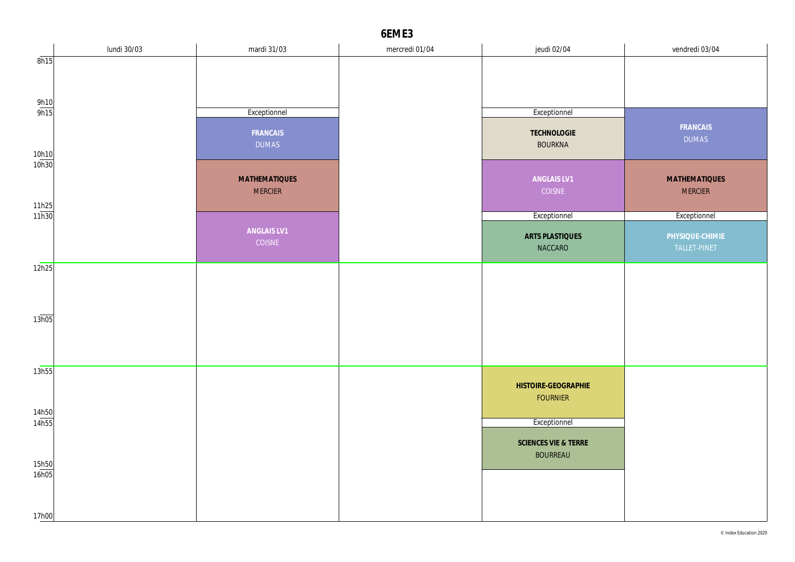|                       | lundi 30/03 | mardi 31/03              | mercredi 01/04 | jeudi 02/04                       | vendredi 03/04                  |
|-----------------------|-------------|--------------------------|----------------|-----------------------------------|---------------------------------|
| 8h15                  |             |                          |                |                                   |                                 |
|                       |             |                          |                |                                   |                                 |
|                       |             |                          |                |                                   |                                 |
| 9h10<br>9h15          |             | Exceptionnel             |                | Exceptionnel                      |                                 |
| 10h10                 |             | FRANCAIS<br><b>DUMAS</b> |                | TECHNOLOGIE<br><b>BOURKNA</b>     | FRANCAIS<br><b>DUMAS</b>        |
| 10 <sub>h30</sub>     |             |                          |                |                                   |                                 |
|                       |             | <b>MATHEMATIQUES</b>     |                | ANGLAIS LV1                       | <b>MATHEMATIQUES</b>            |
|                       |             | <b>MERCIER</b>           |                | COISNE                            | <b>MERCIER</b>                  |
| $\frac{11h25}{11h30}$ |             |                          |                | Exceptionnel                      | Exceptionnel                    |
|                       |             | ANGLAIS LV1              |                |                                   |                                 |
|                       |             | COISNE                   |                | <b>ARTS PLASTIQUES</b><br>NACCARO | PHYSIQUE-CHIMIE<br>TALLET-PINET |
|                       |             |                          |                |                                   |                                 |
| 12h25                 |             |                          |                |                                   |                                 |
|                       |             |                          |                |                                   |                                 |
|                       |             |                          |                |                                   |                                 |
| 13h05                 |             |                          |                |                                   |                                 |
|                       |             |                          |                |                                   |                                 |
|                       |             |                          |                |                                   |                                 |
| 13h55                 |             |                          |                |                                   |                                 |
|                       |             |                          |                | HISTOIRE-GEOGRAPHIE               |                                 |
|                       |             |                          |                | <b>FOURNIER</b>                   |                                 |
| 14h50                 |             |                          |                |                                   |                                 |
| 14h55                 |             |                          |                | Exceptionnel                      |                                 |
|                       |             |                          |                | SCIENCES VIE & TERRE              |                                 |
| 15h50                 |             |                          |                | <b>BOURREAU</b>                   |                                 |
| 16h05                 |             |                          |                |                                   |                                 |
|                       |             |                          |                |                                   |                                 |
|                       |             |                          |                |                                   |                                 |
| 17h00                 |             |                          |                |                                   |                                 |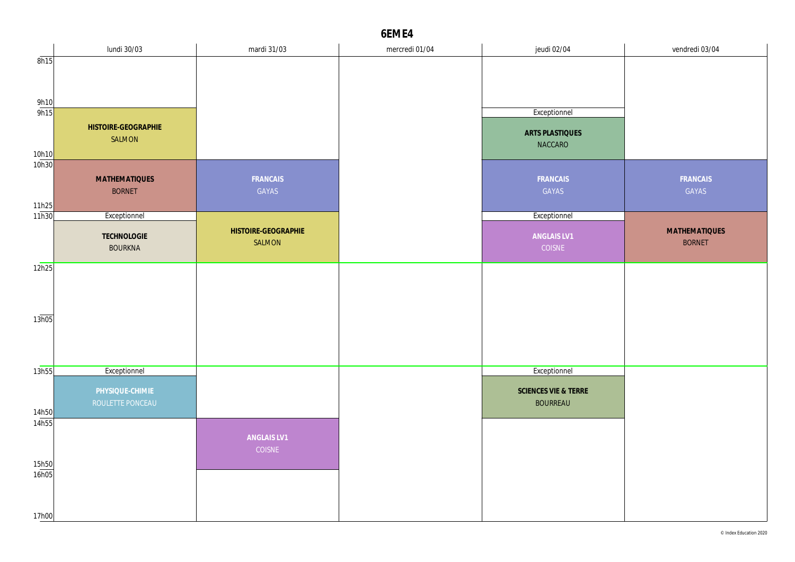|                     | lundi 30/03          | mardi 31/03         | mercredi 01/04 | jeudi 02/04          | vendredi 03/04 |
|---------------------|----------------------|---------------------|----------------|----------------------|----------------|
| 8h15                |                      |                     |                |                      |                |
|                     |                      |                     |                |                      |                |
|                     |                      |                     |                |                      |                |
|                     |                      |                     |                |                      |                |
| $\frac{9h10}{9h15}$ |                      |                     |                | Exceptionnel         |                |
|                     | HISTOIRE-GEOGRAPHIE  |                     |                |                      |                |
|                     | SALMON               |                     |                | ARTS PLASTIQUES      |                |
| 10h10               |                      |                     |                | NACCARO              |                |
| 10h30               |                      |                     |                |                      |                |
|                     | <b>MATHEMATIQUES</b> | FRANCAIS            |                | FRANCAIS             | FRANCAIS       |
|                     | <b>BORNET</b>        | GAYAS               |                | GAYAS                | GAYAS          |
|                     |                      |                     |                |                      |                |
| 11h25<br>11h30      | Exceptionnel         |                     |                | Exceptionnel         |                |
|                     |                      |                     |                |                      |                |
|                     | TECHNOLOGIE          | HISTOIRE-GEOGRAPHIE |                | ANGLAIS LV1          | MATHEMATIQUES  |
|                     | <b>BOURKNA</b>       | SALMON              |                | COISNE               | <b>BORNET</b>  |
| 12h25               |                      |                     |                |                      |                |
|                     |                      |                     |                |                      |                |
|                     |                      |                     |                |                      |                |
|                     |                      |                     |                |                      |                |
|                     |                      |                     |                |                      |                |
| 13h05               |                      |                     |                |                      |                |
|                     |                      |                     |                |                      |                |
|                     |                      |                     |                |                      |                |
|                     |                      |                     |                |                      |                |
| 13h55               | Exceptionnel         |                     |                | Exceptionnel         |                |
|                     | PHYSIQUE-CHIMIE      |                     |                | SCIENCES VIE & TERRE |                |
|                     | ROULETTE PONCEAU     |                     |                | <b>BOURREAU</b>      |                |
| 14h50               |                      |                     |                |                      |                |
| 14h55               |                      |                     |                |                      |                |
|                     |                      | ANGLAIS LV1         |                |                      |                |
|                     |                      | COISNE              |                |                      |                |
| 15h50               |                      |                     |                |                      |                |
| 16h05               |                      |                     |                |                      |                |
|                     |                      |                     |                |                      |                |
|                     |                      |                     |                |                      |                |
| 17h00               |                      |                     |                |                      |                |
|                     |                      |                     |                |                      |                |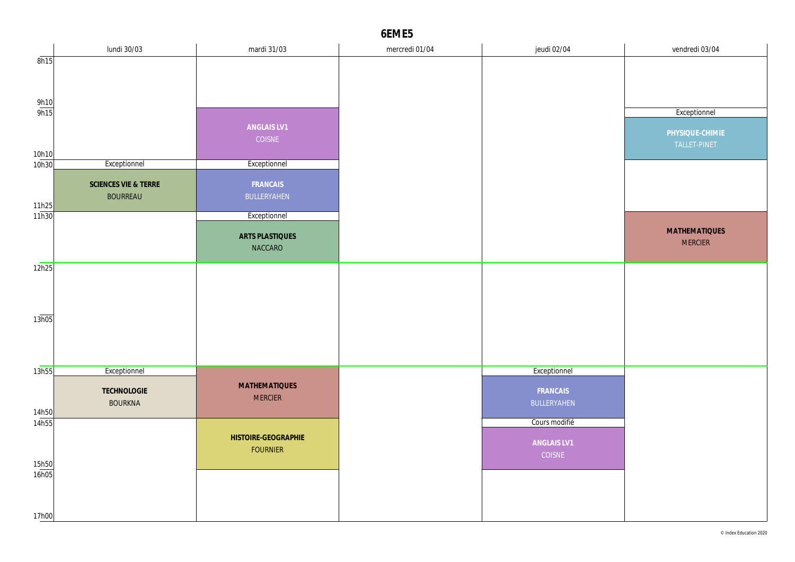|                     | lundi 30/03          | mardi 31/03                            | mercredi 01/04 | jeudi 02/04   | vendredi 03/04       |
|---------------------|----------------------|----------------------------------------|----------------|---------------|----------------------|
| 8h15                |                      |                                        |                |               |                      |
|                     |                      |                                        |                |               |                      |
|                     |                      |                                        |                |               |                      |
| $\frac{9h10}{9h15}$ |                      |                                        |                |               |                      |
|                     |                      |                                        |                |               | Exceptionnel         |
|                     |                      | ANGLAIS LV1                            |                |               | PHYSIQUE-CHIMIE      |
|                     |                      | COISNE                                 |                |               | TALLET-PINET         |
| 10h10               |                      |                                        |                |               |                      |
| 10h30               | Exceptionnel         | Exceptionnel                           |                |               |                      |
|                     | SCIENCES VIE & TERRE | FRANCAIS                               |                |               |                      |
|                     | <b>BOURREAU</b>      | BULLERYAHEN                            |                |               |                      |
| 11h25               |                      |                                        |                |               |                      |
| 11h30               |                      | Exceptionnel                           |                |               |                      |
|                     |                      | ARTS PLASTIQUES                        |                |               | <b>MATHEMATIQUES</b> |
|                     |                      | NACCARO                                |                |               | <b>MERCIER</b>       |
|                     |                      |                                        |                |               |                      |
| 12h25               |                      |                                        |                |               |                      |
|                     |                      |                                        |                |               |                      |
|                     |                      |                                        |                |               |                      |
|                     |                      |                                        |                |               |                      |
| 13h05               |                      |                                        |                |               |                      |
|                     |                      |                                        |                |               |                      |
|                     |                      |                                        |                |               |                      |
| 13h55               | Exceptionnel         |                                        |                | Exceptionnel  |                      |
|                     |                      |                                        |                |               |                      |
|                     | TECHNOLOGIE          | <b>MATHEMATIQUES</b><br><b>MERCIER</b> |                | FRANCAIS      |                      |
|                     | <b>BOURKNA</b>       |                                        |                | BULLERYAHEN   |                      |
| 14h50<br>14h55      |                      |                                        |                | Cours modifié |                      |
|                     |                      | HISTOIRE-GEOGRAPHIE                    |                |               |                      |
|                     |                      | <b>FOURNIER</b>                        |                | ANGLAIS LV1   |                      |
|                     |                      |                                        |                | COISNE        |                      |
| 15h50<br>16h05      |                      |                                        |                |               |                      |
|                     |                      |                                        |                |               |                      |
|                     |                      |                                        |                |               |                      |
| 17h00               |                      |                                        |                |               |                      |
|                     |                      |                                        |                |               |                      |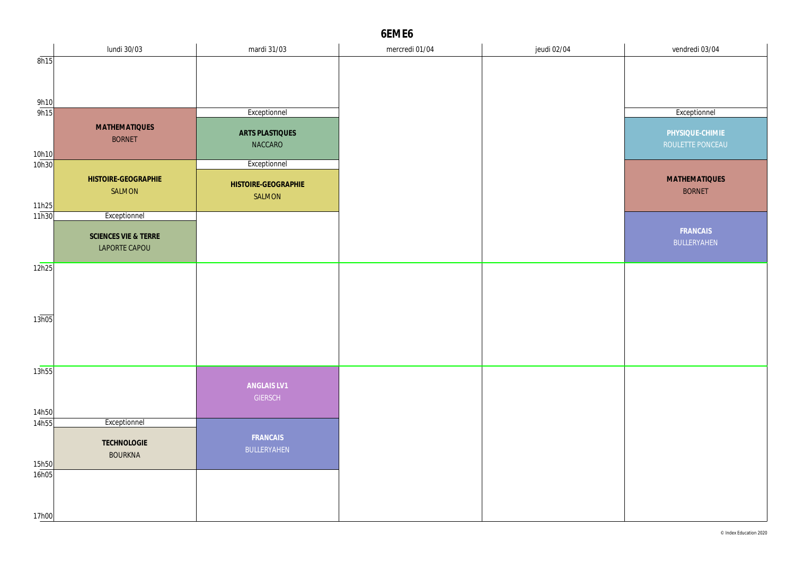|                     | lundi 30/03                   | mardi 31/03         | mercredi 01/04 | jeudi 02/04 | vendredi 03/04                        |
|---------------------|-------------------------------|---------------------|----------------|-------------|---------------------------------------|
| 8h15                |                               |                     |                |             |                                       |
|                     |                               |                     |                |             |                                       |
|                     |                               |                     |                |             |                                       |
| $\frac{9h10}{9h15}$ |                               |                     |                |             |                                       |
|                     |                               | Exceptionnel        |                |             | Exceptionnel                          |
|                     | <b>MATHEMATIQUES</b>          | ARTS PLASTIQUES     |                |             | PHYSIQUE-CHIMIE                       |
|                     | <b>BORNET</b>                 | NACCARO             |                |             | ROULETTE PONCEAU                      |
| 10h10<br>10h30      |                               | Exceptionnel        |                |             |                                       |
|                     |                               |                     |                |             |                                       |
|                     | HISTOIRE-GEOGRAPHIE<br>SALMON | HISTOIRE-GEOGRAPHIE |                |             | <b>MATHEMATIQUES</b><br><b>BORNET</b> |
|                     |                               | SALMON              |                |             |                                       |
| 11h25<br>11h30      | Exceptionnel                  |                     |                |             |                                       |
|                     |                               |                     |                |             | FRANCAIS                              |
|                     | SCIENCES VIE & TERRE          |                     |                |             | BULLERYAHEN                           |
|                     | LAPORTE CAPOU                 |                     |                |             |                                       |
| 12h25               |                               |                     |                |             |                                       |
|                     |                               |                     |                |             |                                       |
|                     |                               |                     |                |             |                                       |
|                     |                               |                     |                |             |                                       |
| 13h05               |                               |                     |                |             |                                       |
|                     |                               |                     |                |             |                                       |
|                     |                               |                     |                |             |                                       |
|                     |                               |                     |                |             |                                       |
| 13h55               |                               |                     |                |             |                                       |
|                     |                               | ANGLAIS LV1         |                |             |                                       |
|                     |                               | <b>GIERSCH</b>      |                |             |                                       |
| 14h50<br>14h55      | Exceptionnel                  |                     |                |             |                                       |
|                     |                               | FRANCAIS            |                |             |                                       |
|                     | TECHNOLOGIE                   | BULLERYAHEN         |                |             |                                       |
| 15h50               | <b>BOURKNA</b>                |                     |                |             |                                       |
| 16h05               |                               |                     |                |             |                                       |
|                     |                               |                     |                |             |                                       |
|                     |                               |                     |                |             |                                       |
| 17h00               |                               |                     |                |             |                                       |